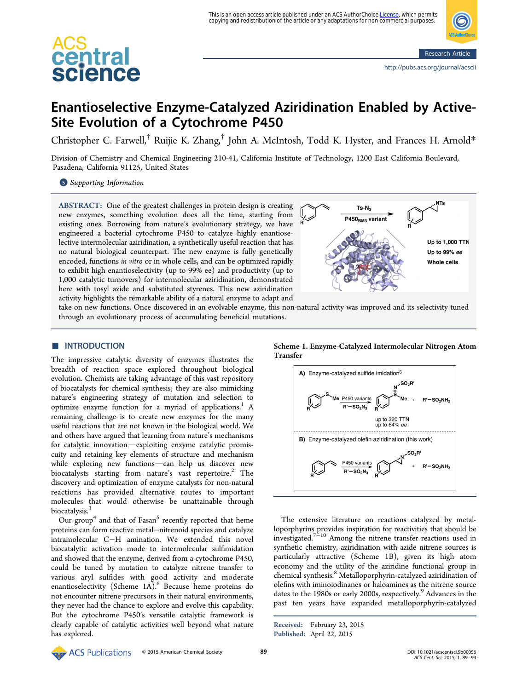This is an open access article published under an ACS AuthorChoice <u>License</u>, which permits<br>copying and redistribution of the article or any adaptations for non-commercial purposes.

# <span id="page-0-0"></span>central<br>science

# Enantioselective Enzyme-Catalyzed Aziridination Enabled by Active-Site Evolution of a Cytochrome P450

Christopher C. Farwell,[†](#page-3-0) Ruijie K. Zhang,[†](#page-3-0) John A. McIntosh, Todd K. Hyster, and Frances H. Arnold[\\*](#page-3-0)

Division of Chemistry and Chemical Engineering 210-41, California Institute of Technology, 1200 East California Boulevard, Pasadena, California 91125, United States

**S** [Supporting Information](#page-3-0)

ABSTRACT: One of the greatest challenges in protein design is creating new enzymes, something evolution does all the time, starting from existing ones. Borrowing from nature's evolutionary strategy, we have engineered a bacterial cytochrome P450 to catalyze highly enantioselective intermolecular aziridination, a synthetically useful reaction that has no natural biological counterpart. The new enzyme is fully genetically encoded, functions in vitro or in whole cells, and can be optimized rapidly to exhibit high enantioselectivity (up to 99% ee) and productivity (up to 1,000 catalytic turnovers) for intermolecular aziridination, demonstrated here with tosyl azide and substituted styrenes. This new aziridination activity highlights the remarkable ability of a natural enzyme to adapt and



take on new functions. Once discovered in an evolvable enzyme, this non-natural activity was improved and its selectivity tuned through an evolutionary process of accumulating beneficial mutations.

# **■ INTRODUCTION**

The impressive catalytic diversity of enzymes illustrates the breadth of reaction space explored throughout biological evolution. Chemists are taking advantage of this vast repository of biocatalysts for chemical synthesis; they are also mimicking nature's engineering strategy of mutation and selection to optimize enzyme function for a myriad of applications.<sup>[1](#page-4-0)</sup> A remaining challenge is to create new enzymes for the many useful reactions that are not known in the biological world. We and others have argued that learning from nature's mechanisms for catalytic innovation-exploiting enzyme catalytic promiscuity and retaining key elements of structure and mechanism while exploring new functions-can help us discover new biocatalysts starting from nature's vast repertoire.<sup>[2](#page-4-0)</sup> The discovery and optimization of enzyme catalysts for non-natural reactions has provided alternative routes to important molecules that would otherwise be unattainable through biocatalysis.<sup>[3](#page-4-0)</sup>

Our group<sup>[4](#page-4-0)</sup> and that of Fasan<sup>[5](#page-4-0)</sup> recently reported that heme proteins can form reactive metal−nitrenoid species and catalyze intramolecular C−H amination. We extended this novel biocatalytic activation mode to intermolecular sulfimidation and showed that the enzyme, derived from a cytochrome P450, could be tuned by mutation to catalyze nitrene transfer to various aryl sulfides with good activity and moderate enantioselectivity (Scheme 1A).<sup>[6](#page-4-0)</sup> Because heme proteins do not encounter nitrene precursors in their natural environments, they never had the chance to explore and evolve this capability. But the cytochrome P450's versatile catalytic framework is clearly capable of catalytic activities well beyond what nature has explored.

Scheme 1. Enzyme-Catalyzed Intermolecular Nitrogen Atom Transfer



The extensive literature on reactions catalyzed by metalloporphyrins provides inspiration for reactivities that should be  $i$  investigated.<sup>[7](#page-4-0)−[10](#page-4-0)</sup> Among the nitrene transfer reactions used in synthetic chemistry, aziridination with azide nitrene sources is particularly attractive (Scheme 1B), given its high atom economy and the utility of the aziridine functional group in chemical synthesis.<sup>[8](#page-4-0)</sup> Metalloporphyrin-catalyzed aziridination of olefins with iminoiodinanes or haloamines as the nitrene source dates to the 1[9](#page-4-0)80s or early 2000s, respectively.<sup>9</sup> Advances in the past ten years have expanded metalloporphyrin-catalyzed

Received: February 23, 2015 Published: April 22, 2015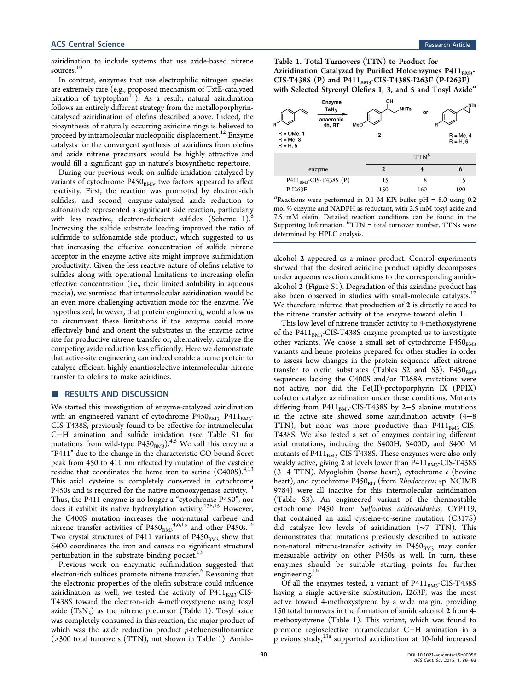<span id="page-1-0"></span>aziridination to include systems that use azide-based nitrene sources.<sup>[10](#page-4-0)</sup>

In contrast, enzymes that use electrophilic nitrogen species are extremely rare (e.g., proposed mechanism of TxtE-catalyzed nitration of tryptophan<sup>11</sup>). As a result, natural aziridination follows an entirely different strategy from the metalloporphyrincatalyzed aziridination of olefins described above. Indeed, the biosynthesis of naturally occurring aziridine rings is believed to proceed by intramolecular nucleophilic displacement.<sup>[12](#page-4-0)</sup> Enzyme catalysts for the convergent synthesis of aziridines from olefins and azide nitrene precursors would be highly attractive and would fill a significant gap in nature's biosynthetic repertoire.

During our previous work on sulfide imidation catalyzed by variants of cytochrome  $P450_{BM3}$ , two factors appeared to affect reactivity. First, the reaction was promoted by electron-rich sulfides, and second, enzyme-catalyzed azide reduction to sulfonamide represented a significant side reaction, particularly with less reactive, electron-deficient sulfides (Scheme [1](#page-0-0)).<sup>[6](#page-4-0)</sup> Increasing the sulfide substrate loading improved the ratio of sulfimide to sulfonamide side product, which suggested to us that increasing the effective concentration of sulfide nitrene acceptor in the enzyme active site might improve sulfimidation productivity. Given the less reactive nature of olefins relative to sulfides along with operational limitations to increasing olefin effective concentration (i.e., their limited solubility in aqueous media), we surmised that intermolecular aziridination would be an even more challenging activation mode for the enzyme. We hypothesized, however, that protein engineering would allow us to circumvent these limitations if the enzyme could more effectively bind and orient the substrates in the enzyme active site for productive nitrene transfer or, alternatively, catalyze the competing azide reduction less efficiently. Here we demonstrate that active-site engineering can indeed enable a heme protein to catalyze efficient, highly enantioselective intermolecular nitrene transfer to olefins to make aziridines.

# ■ RESULTS AND DISCUSSION

We started this investigation of enzyme-catalyzed aziridination with an engineered variant of cytochrome  $P450<sub>BM3</sub>$ ,  $P411<sub>BM3</sub>$ -CIS-T438S, previously found to be effective for intramolecular C−H amination and sulfide imidation (see [Table S1](#page-3-0) for mutations from wild-type  $P450<sub>BM3</sub>$  $P450<sub>BM3</sub>$  $P450<sub>BM3</sub>$ ).<sup>4,[6](#page-4-0)</sup> We call this enzyme a "P411" due to the change in the characteristic CO-bound Soret peak from 450 to 411 nm effected by mutation of the cysteine residue that coordinates the heme iron to serine  $(C400S)^{4,13}$  $(C400S)^{4,13}$  $(C400S)^{4,13}$ This axial cysteine is completely conserved in cytochrome P450s and is required for the native monooxygenase activity.<sup>[14](#page-4-0)</sup> Thus, the P411 enzyme is no longer a "cytochrome P450", nor does it exhibit its native hydroxylation activity.<sup>[13b](#page-4-0),[15](#page-4-0)</sup> However, the C400S mutation increases the non-natural carbene and nitrene transfer activities of P[4](#page-4-0)50<sub>BM3</sub><sup>4,[6](#page-4-0),[13](#page-4-0)</sup> and other P450s.<sup>[16](#page-4-0)</sup> Two crystal structures of P411 variants of  $P450<sub>BM3</sub>$  show that S400 coordinates the iron and causes no significant structural perturbation in the substrate binding pocket.<sup>[13](#page-4-0)</sup>

Previous work on enzymatic sulfimidation suggested that electron-rich sulfides promote nitrene transfer.<sup>[6](#page-4-0)</sup> Reasoning that the electronic properties of the olefin substrate could influence aziridination as well, we tested the activity of  $P411<sub>BM3</sub>$ -CIS-T438S toward the electron-rich 4-methoxystyrene using tosyl azide  $(TsN_3)$  as the nitrene precursor (Table 1). Tosyl azide was completely consumed in this reaction, the major product of which was the azide reduction product  $p$ -toluenesulfonamide (>300 total turnovers (TTN), not shown in Table 1). AmidoTable 1. Total Turnovers (TTN) to Product for Aziridination Catalyzed by Purified Holoenzymes P411BM3- $CIS-T438S (P)$  and P411<sub>BM3</sub>-CIS-T438S-I263F (P-I263F) with Selected Styrenyl Olefins 1, 3, and 5 and Tosyl Azide<sup>a</sup>



<sup>a</sup>Reactions were performed in 0.1 M KPi buffer pH = 8.0 using 0.2 mol % enzyme and NADPH as reductant, with 2.5 mM tosyl azide and 7.5 mM olefin. Detailed reaction conditions can be found in the [Supporting Information.](#page-3-0) <sup>b</sup>TTN = total turnover number. TTNs were determined by HPLC analysis.

alcohol 2 appeared as a minor product. Control experiments showed that the desired aziridine product rapidly decomposes under aqueous reaction conditions to the corresponding amidoalcohol 2 ([Figure S1\)](#page-3-0). Degradation of this aziridine product has also been observed in studies with small-molecule catalysts.<sup>[17](#page-4-0)</sup> We therefore inferred that production of 2 is directly related to the nitrene transfer activity of the enzyme toward olefin 1.

This low level of nitrene transfer activity to 4-methoxystyrene of the  $P411<sub>BM3</sub>$ -CIS-T438S enzyme prompted us to investigate other variants. We chose a small set of cytochrome  $P450<sub>BM3</sub>$ variants and heme proteins prepared for other studies in order to assess how changes in the protein sequence affect nitrene transfer to olefin substrates ([Tables S2 and S3\)](#page-3-0).  $P450<sub>BM3</sub>$ sequences lacking the C400S and/or T268A mutations were not active, nor did the Fe(II)-protoporphyrin IX (PPIX) cofactor catalyze aziridination under these conditions. Mutants differing from P411<sub>BM3</sub>-CIS-T438S by 2-5 alanine mutations in the active site showed some aziridination activity (4−8 TTN), but none was more productive than  $P411_{BM3}$ -CIS-T438S. We also tested a set of enzymes containing different axial mutations, including the S400H, S400D, and S400 M mutants of P411 $_{BMS}$ -CIS-T438S. These enzymes were also only weakly active, giving  $2$  at levels lower than P411 $_{\rm BMS}$ -CIS-T438S (3−4 TTN). Myoglobin (horse heart), cytochrome c (bovine heart), and cytochrome  $P450<sub>Rhf</sub>$  (from Rhodococcus sp. NCIMB 9784) were all inactive for this intermolecular aziridination ([Table S3](#page-3-0)). An engineered variant of the thermostable cytochrome P450 from Sulfolobus acidocaldarius, CYP119, that contained an axial cysteine-to-serine mutation (C317S) did catalyze low levels of aziridination (∼7 TTN). This demonstrates that mutations previously described to activate non-natural nitrene-transfer activity in  $P450<sub>BM3</sub>$  may confer measurable activity on other P450s as well. In turn, these enzymes should be suitable starting points for further engineering.<sup>[16](#page-4-0)</sup>

Of all the enzymes tested, a variant of  $P411_{BM3}$ -CIS-T438S having a single active-site substitution, I263F, was the most active toward 4-methoxystyrene by a wide margin, providing 150 total turnovers in the formation of amido-alcohol 2 from 4 methoxystyrene (Table 1). This variant, which was found to promote regioselective intramolecular C−H amination in a previous study,<sup>[13a](#page-4-0)</sup> supported aziridination at 10-fold increased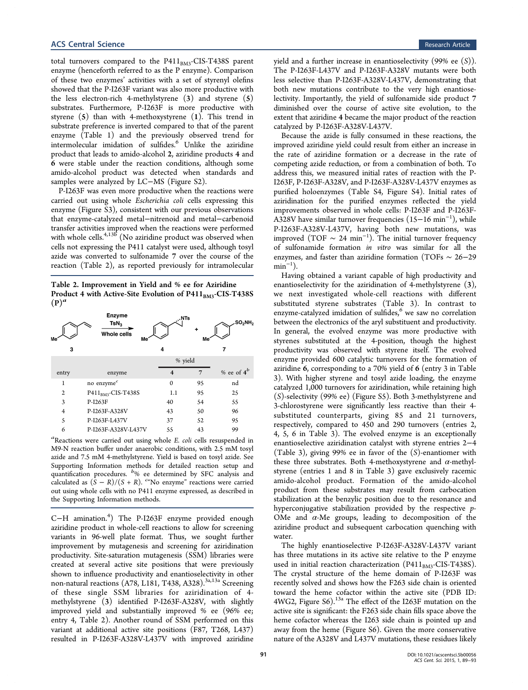<span id="page-2-0"></span>total turnovers compared to the  $P411_{BM3}$ -CIS-T438S parent enzyme (henceforth referred to as the P enzyme). Comparison of these two enzymes' activities with a set of styrenyl olefins showed that the P-I263F variant was also more productive with the less electron-rich 4-methylstyrene (3) and styrene (5) substrates. Furthermore, P-I263F is more productive with styrene (5) than with 4-methoxystyrene (1). This trend in substrate preference is inverted compared to that of the parent enzyme (Table [1\)](#page-1-0) and the previously observed trend for intermolecular imidation of sulfides.<sup>[6](#page-4-0)</sup> Unlike the aziridine product that leads to amido-alcohol 2, aziridine products 4 and 6 were stable under the reaction conditions, although some amido-alcohol product was detected when standards and samples were analyzed by LC−MS [\(Figure S2](#page-3-0)).

P-I263F was even more productive when the reactions were carried out using whole Escherichia coli cells expressing this enzyme [\(Figure S3](#page-3-0)), consistent with our previous observations that enzyme-catalyzed metal−nitrenoid and metal−carbenoid transfer activities improved when the reactions were performed with whole cells. $4,13b$ <sup>t</sup> (No aziridine product was observed when cells not expressing the P411 catalyst were used, although tosyl azide was converted to sulfonamide 7 over the course of the reaction (Table 2), as reported previously for intramolecular

Table 2. Improvement in Yield and % ee for Aziridine Product 4 with Active-Site Evolution of  $P411_{BM3}$ -CIS-T438S  $(P)^a$ 

| Me             | <b>Enzyme</b><br>TsN <sub>2</sub><br>Whole cells<br>Me' | "NTs                    | Me <sup>-</sup> | SO <sub>2</sub> NH <sub>2</sub> |  |
|----------------|---------------------------------------------------------|-------------------------|-----------------|---------------------------------|--|
| 3              |                                                         | 4                       |                 |                                 |  |
|                |                                                         | % yield                 |                 |                                 |  |
| entry          | enzyme                                                  | $\overline{\mathbf{4}}$ |                 | % ee of $4^b$                   |  |
| 1              | no ${\rm enzyme}^c$                                     | $\mathbf{0}$            | 95              | nd                              |  |
| $\overline{2}$ | P411 <sub>BM3</sub> -CIS-T438S                          | 1.1                     | 95              | 25                              |  |
| 3              | P-I263F                                                 | 40                      | 54              | 55                              |  |
| $\overline{4}$ | P-I263F-A328V                                           | 43                      | 50              | 96                              |  |
| 5              | P-I263F-L437V                                           | 37                      | 52              | 95                              |  |
| 6              | P-I263F-A328V-L437V                                     | 55                      | 43              | 99                              |  |

<sup>a</sup>Reactions were carried out using whole *E. coli* cells resuspended in M9-N reaction buffer under anaerobic conditions, with 2.5 mM tosyl azide and 7.5 mM 4-methylstyrene. Yield is based on tosyl azide. See [Supporting Information](#page-3-0) methods for detailed reaction setup and quantification procedures. <sup>b</sup> % ee determined by SFC analysis and calculated as  $(S - R)/(S + R)$ . <sup>ca</sup>No enzyme" reactions were carried out using whole cells with no P411 enzyme expressed, as described in the [Supporting Information](#page-3-0) methods.

C−H amination.[4](#page-4-0) ) The P-I263F enzyme provided enough aziridine product in whole-cell reactions to allow for screening variants in 96-well plate format. Thus, we sought further improvement by mutagenesis and screening for aziridination productivity. Site-saturation mutagenesis (SSM) libraries were created at several active site positions that were previously shown to influence productivity and enantioselectivity in other non-natural reactions (A78, L181, T438, A328).<sup>[3a](#page-4-0),[13a](#page-4-0)</sup> Screening of these single SSM libraries for aziridination of 4 methylstyrene (3) identified P-I263F-A328V, with slightly improved yield and substantially improved % ee (96% ee; entry 4, Table 2). Another round of SSM performed on this variant at additional active site positions (F87, T268, L437) resulted in P-I263F-A328V-L437V with improved aziridine

yield and a further increase in enantioselectivity  $(99% \text{ ee } (S))$ . The P-I263F-L437V and P-I263F-A328V mutants were both less selective than P-I263F-A328V-L437V, demonstrating that both new mutations contribute to the very high enantioselectivity. Importantly, the yield of sulfonamide side product 7 diminished over the course of active site evolution, to the extent that aziridine 4 became the major product of the reaction catalyzed by P-I263F-A328V-L437V.

Because the azide is fully consumed in these reactions, the improved aziridine yield could result from either an increase in the rate of aziridine formation or a decrease in the rate of competing azide reduction, or from a combination of both. To address this, we measured initial rates of reaction with the P-I263F, P-I263F-A328V, and P-I263F-A328V-L437V enzymes as purified holoenzymes [\(Table S4](#page-3-0), [Figure S4](#page-3-0)). Initial rates of aziridination for the purified enzymes reflected the yield improvements observed in whole cells: P-I263F and P-I263F-A328V have similar turnover frequencies (15–16 min<sup>−1</sup>), while P-I263F-A328V-L437V, having both new mutations, was improved (TOF  $\sim 24 \text{ min}^{-1}$ ). The initial turnover frequency of sulfonamide formation in vitro was similar for all the enzymes, and faster than aziridine formation (TOFs ∼ 26−29  $\min^{-1}$ ).

Having obtained a variant capable of high productivity and enantioselectivity for the aziridination of 4-methylstyrene (3), we next investigated whole-cell reactions with different substituted styrene substrates (Table [3\)](#page-3-0). In contrast to enzyme-catalyzed imidation of sulfides,<sup>[6](#page-4-0)</sup> we saw no correlation between the electronics of the aryl substituent and productivity. In general, the evolved enzyme was more productive with styrenes substituted at the 4-position, though the highest productivity was observed with styrene itself. The evolved enzyme provided 600 catalytic turnovers for the formation of aziridine 6, corresponding to a 70% yield of 6 (entry 3 in Table [3](#page-3-0)). With higher styrene and tosyl azide loading, the enzyme catalyzed 1,000 turnovers for aziridination, while retaining high (S)-selectivity (99% ee) [\(Figure S5\)](#page-3-0). Both 3-methylstyrene and 3-chlorostyrene were significantly less reactive than their 4 substituted counterparts, giving 85 and 21 turnovers, respectively, compared to 450 and 290 turnovers (entries 2, 4, 5, 6 in Table [3\)](#page-3-0). The evolved enzyme is an exceptionally enantioselective aziridination catalyst with styrene entries 2−4 (Table [3](#page-3-0)), giving 99% ee in favor of the (S)-enantiomer with these three substrates. Both 4-methoxystyrene and  $\alpha$ -methylstyrene (entries 1 and 8 in Table [3\)](#page-3-0) gave exclusively racemic amido-alcohol product. Formation of the amido-alcohol product from these substrates may result from carbocation stabilization at the benzylic position due to the resonance and hyperconjugative stabilization provided by the respective p-OMe and  $\alpha$ -Me groups, leading to decomposition of the aziridine product and subsequent carbocation quenching with water.

The highly enantioselective P-I263F-A328V-L437V variant has three mutations in its active site relative to the P enzyme used in initial reaction characterization (P411 $_{BM3}$ -CIS-T438S). The crystal structure of the heme domain of P-I263F was recently solved and shows how the F263 side chain is oriented toward the heme cofactor within the active site (PDB ID: 4WG2, [Figure S6](#page-3-0)).[13a](#page-4-0) The effect of the I263F mutation on the active site is significant: the F263 side chain fills space above the heme cofactor whereas the I263 side chain is pointed up and away from the heme ([Figure S6](#page-3-0)). Given the more conservative nature of the A328V and L437V mutations, these residues likely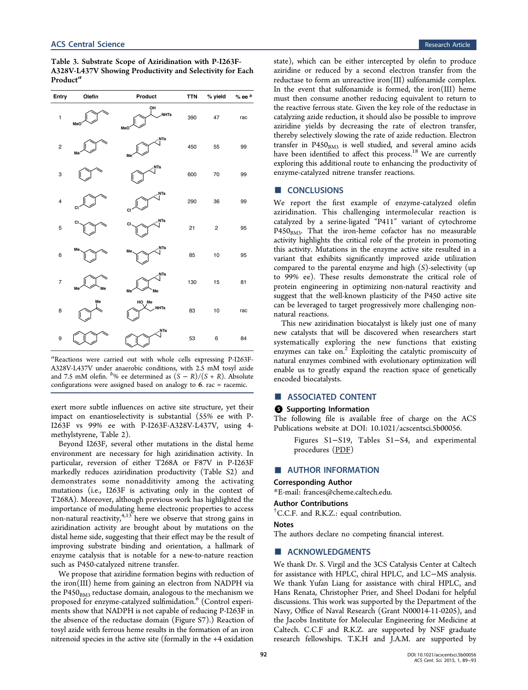<span id="page-3-0"></span>

| Table 3. Substrate Scope of Aziridination with P-I263F-   |
|-----------------------------------------------------------|
| A328V-L437V Showing Productivity and Selectivity for Each |
| Product"                                                  |

| Entry                   | Olefin   | Product                         | <b>TTN</b> | % yield     | $%$ ee $b$ |
|-------------------------|----------|---------------------------------|------------|-------------|------------|
| $\mathbf{1}$            | MeO      | ÒН<br><b>NHTs</b><br>MeO        | 390        | 47          | rac        |
| $\overline{\mathbf{c}}$ | Me       | NTs,<br>Me                      | 450        | 55          | 99         |
| 3                       |          | , NTs                           | 600        | 70          | 99         |
| $\overline{\mathbf{4}}$ | CI       | , NTs<br><b>CI</b>              | 290        | 36          | 99         |
| 5                       | CI       | NTs<br><b>CI</b>                | 21         | $\mathbf 2$ | 95         |
| 6                       | Me       | NTs,<br>Me                      | 85         | 10          | 95         |
| $\overline{7}$          | Me<br>Me | NTs<br>Me<br>Me                 | 130        | 15          | 81         |
| 8                       | Me       | HO <sub>Me</sub><br><b>NHTs</b> | 83         | 10          | rac        |
| 9                       |          | NTs                             | 53         | 6           | 84         |

a Reactions were carried out with whole cells expressing P-I263F-A328V-L437V under anaerobic conditions, with 2.5 mM tosyl azide and 7.5 mM olefin.  $b$ % ee determined as  $(S - R)/(S + R)$ . Absolute configurations were assigned based on analogy to 6. rac = racemic.

exert more subtle influences on active site structure, yet their impact on enantioselectivity is substantial (55% ee with P-I263F vs 99% ee with P-I263F-A328V-L437V, using 4 methylstyrene, Table [2\)](#page-2-0).

Beyond I263F, several other mutations in the distal heme environment are necessary for high aziridination activity. In particular, reversion of either T268A or F87V in P-I263F markedly reduces aziridination productivity (Table S2) and demonstrates some nonadditivity among the activating mutations (i.e., I263F is activating only in the context of T268A). Moreover, although previous work has highlighted the importance of modulating heme electronic properties to access non-natural reactivity,<sup>[4](#page-4-0),[13](#page-4-0)</sup> here we observe that strong gains in aziridination activity are brought about by mutations on the distal heme side, suggesting that their effect may be the result of improving substrate binding and orientation, a hallmark of enzyme catalysis that is notable for a new-to-nature reaction such as P450-catalyzed nitrene transfer.

We propose that aziridine formation begins with reduction of the iron(III) heme from gaining an electron from NADPH via the  $P450<sub>BM3</sub>$  reductase domain, analogous to the mechanism we proposed for enzyme-catalyzed sulfimidation.<sup>[6](#page-4-0)</sup> (Control experiments show that NADPH is not capable of reducing P-I263F in the absence of the reductase domain (Figure S7).) Reaction of tosyl azide with ferrous heme results in the formation of an iron nitrenoid species in the active site (formally in the +4 oxidation

state), which can be either intercepted by olefin to produce aziridine or reduced by a second electron transfer from the reductase to form an unreactive iron(III) sulfonamide complex. In the event that sulfonamide is formed, the iron(III) heme must then consume another reducing equivalent to return to the reactive ferrous state. Given the key role of the reductase in catalyzing azide reduction, it should also be possible to improve aziridine yields by decreasing the rate of electron transfer, thereby selectively slowing the rate of azide reduction. Electron transfer in  $P450<sub>BM3</sub>$  is well studied, and several amino acids have been identified to affect this process.<sup>[18](#page-4-0)</sup> We are currently exploring this additional route to enhancing the productivity of enzyme-catalyzed nitrene transfer reactions.

# ■ CONCLUSIONS

We report the first example of enzyme-catalyzed olefin aziridination. This challenging intermolecular reaction is catalyzed by a serine-ligated "P411" variant of cytochrome  $P450<sub>BM3</sub>$ . That the iron-heme cofactor has no measurable activity highlights the critical role of the protein in promoting this activity. Mutations in the enzyme active site resulted in a variant that exhibits significantly improved azide utilization compared to the parental enzyme and high (S)-selectivity (up to 99% ee). These results demonstrate the critical role of protein engineering in optimizing non-natural reactivity and suggest that the well-known plasticity of the P450 active site can be leveraged to target progressively more challenging nonnatural reactions.

This new aziridination biocatalyst is likely just one of many new catalysts that will be discovered when researchers start systematically exploring the new functions that existing enzymes can take on. $2$  Exploiting the catalytic promiscuity of natural enzymes combined with evolutionary optimization will enable us to greatly expand the reaction space of genetically encoded biocatalysts.

### ■ ASSOCIATED CONTENT

#### S Supporting Information

The following file is available free of charge on the [ACS](http://pubs.acs.org) [Publications website](http://pubs.acs.org) at DOI: [10.1021/acscentsci.5b00056.](http://pubs.acs.org/doi/abs/10.1021/acscentsci.5b00056)

Figures S1−S19, Tables S1−S4, and experimental procedures [\(PDF](http://pubs.acs.org/doi/suppl/10.1021/acscentsci.5b00056/suppl_file/oc5b00056_si_001.pdf))

# ■ AUTHOR INFORMATION

# Corresponding Author

\*E-mail: [frances@cheme.caltech.edu.](mailto:frances@cheme.caltech.edu)

### Author Contributions

† C.C.F. and R.K.Z.: equal contribution.

#### Notes

The authors declare no competing financial interest.

#### **ACKNOWLEDGMENTS**

We thank Dr. S. Virgil and the 3CS Catalysis Center at Caltech for assistance with HPLC, chiral HPLC, and LC−MS analysis. We thank Yufan Liang for assistance with chiral HPLC, and Hans Renata, Christopher Prier, and Sheel Dodani for helpful discussions. This work was supported by the Department of the Navy, Office of Naval Research (Grant N00014-11-0205), and the Jacobs Institute for Molecular Engineering for Medicine at Caltech. C.C.F and R.K.Z. are supported by NSF graduate research fellowships. T.K.H and J.A.M. are supported by